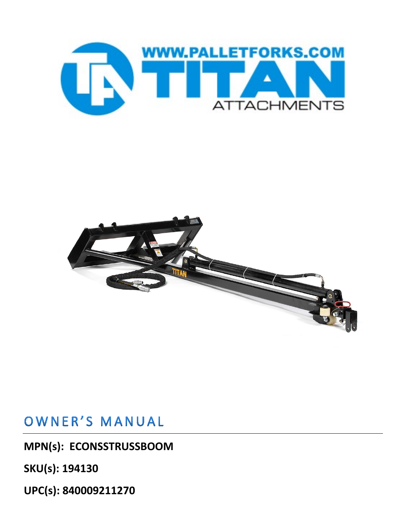



## OWNER'S MANUAL

**MPN(s): ECONSSTRUSSBOOM**

**SKU(s): 194130**

**UPC(s): 840009211270**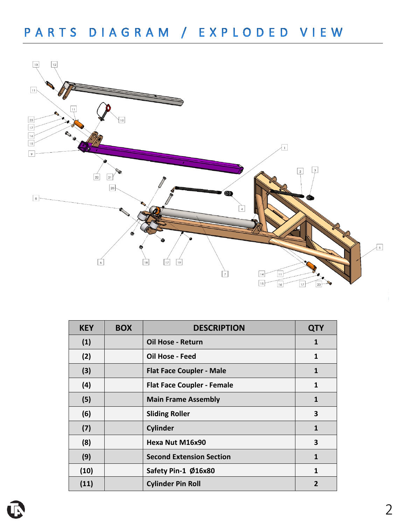

| <b>KEY</b> | <b>BOX</b> | <b>DESCRIPTION</b>                | <b>QTY</b>   |
|------------|------------|-----------------------------------|--------------|
| (1)        |            | Oil Hose - Return                 | $\mathbf{1}$ |
| (2)        |            | <b>Oil Hose - Feed</b>            | 1            |
| (3)        |            | <b>Flat Face Coupler - Male</b>   | 1            |
| (4)        |            | <b>Flat Face Coupler - Female</b> | 1            |
| (5)        |            | <b>Main Frame Assembly</b>        | 1            |
| (6)        |            | <b>Sliding Roller</b>             | 3            |
| (7)        |            | <b>Cylinder</b>                   | 1            |
| (8)        |            | Hexa Nut M16x90                   | 3            |
| (9)        |            | <b>Second Extension Section</b>   | 1            |
| (10)       |            | Safety Pin-1 Ø16x80               | 1            |
| (11)       |            | <b>Cylinder Pin Roll</b>          |              |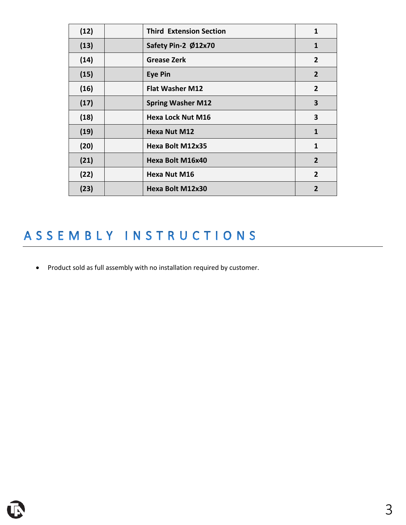| (12) | <b>Third Extension Section</b> | 1              |
|------|--------------------------------|----------------|
| (13) | Safety Pin-2 Ø12x70            | $\mathbf{1}$   |
| (14) | <b>Grease Zerk</b>             | $\overline{2}$ |
| (15) | Eye Pin                        | $\overline{2}$ |
| (16) | <b>Flat Washer M12</b>         | $\overline{2}$ |
| (17) | <b>Spring Washer M12</b>       | 3              |
| (18) | <b>Hexa Lock Nut M16</b>       | 3              |
| (19) | Hexa Nut M12                   | $\mathbf{1}$   |
| (20) | Hexa Bolt M12x35               | 1              |
| (21) | Hexa Bolt M16x40               | $\overline{2}$ |
| (22) | Hexa Nut M16                   | $\overline{2}$ |
| (23) | Hexa Bolt M12x30               | $\overline{2}$ |

## ASSEMBLY INSTRUCTIONS

• Product sold as full assembly with no installation required by customer.